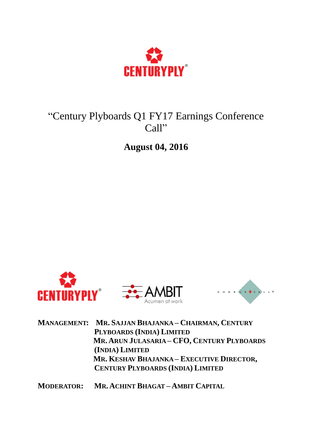

# "Century Plyboards Q1 FY17 Earnings Conference Call"

**August 04, 2016**





**MANAGEMENT: MR. SAJJAN BHAJANKA – CHAIRMAN, CENTURY PLYBOARDS (INDIA) LIMITED MR. ARUN JULASARIA – CFO, CENTURY PLYBOARDS (INDIA) LIMITED MR. KESHAV BHAJANKA – EXECUTIVE DIRECTOR, CENTURY PLYBOARDS (INDIA) LIMITED**

**MODERATOR: MR. ACHINT BHAGAT – AMBIT CAPITAL**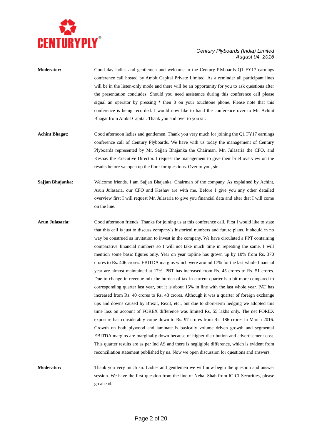

- **Moderator:** Good day ladies and gentlemen and welcome to the Century Plyboards Q1 FY17 earnings conference call hosted by Ambit Capital Private Limited. As a reminder all participant lines will be in the listen-only mode and there will be an opportunity for you to ask questions after the presentation concludes. Should you need assistance during this conference call please signal an operator by pressing \* then 0 on your touchtone phone. Please note that this conference is being recorded. I would now like to hand the conference over to Mr. Achint Bhagat from Ambit Capital. Thank you and over to you sir.
- **Achint Bhagat**: Good afternoon ladies and gentlemen. Thank you very much for joining the Q1 FY17 earnings conference call of Century Plyboards. We have with us today the management of Century Plyboards represented by Mr. Sajjan Bhajanka the Chairman, Mr. Julasaria the CFO, and Keshav the Executive Director. I request the management to give their brief overview on the results before we open up the floor for questions. Over to you, sir.
- **Sajjan Bhajanka:** Welcome friends. I am Sajjan Bhajanka, Chairman of the company. As explained by Achint, Arun Julasaria, our CFO and Keshav are with me. Before I give you any other detailed overview first I will request Mr. Julasaria to give you financial data and after that I will come on the line.
- **Arun Julasaria:** Good afternoon friends. Thanks for joining us at this conference call. First I would like to state that this call is just to discuss company's historical numbers and future plans. It should in no way be construed as invitation to invest in the company. We have circulated a PPT containing comparative financial numbers so I will not take much time in repeating the same. I will mention some basic figures only. Year on year topline has grown up by 10% from Rs. 370 crores to Rs. 406 crores. EBITDA margins which were around 17% for the last whole financial year are almost maintained at 17%. PBT has increased from Rs. 45 crores to Rs. 51 crores. Due to change in revenue mix the burden of tax in current quarter is a bit more compared to corresponding quarter last year, but it is about 15% in line with the last whole year. PAT has increased from Rs. 40 crores to Rs. 43 crores. Although it was a quarter of foreign exchange ups and downs caused by Brexit, Rexit, etc., but due to short-term hedging we adopted this time loss on account of FOREX difference was limited Rs. 55 lakhs only. The net FOREX exposure has considerably come down to Rs. 97 crores from Rs. 186 crores in March 2016. Growth on both plywood and laminate is basically volume driven growth and segmental EBITDA margins are marginally down because of higher distribution and advertisement cost. This quarter results are as per Ind AS and there is negligible difference, which is evident from reconciliation statement published by us. Now we open discussion for questions and answers.
- **Moderator:** Thank you very much sir. Ladies and gentlemen we will now begin the question and answer session. We have the first question from the line of Nehal Shah from ICICI Securities, please go ahead.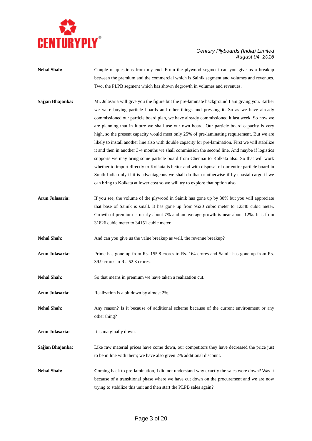

# **Nehal Shah:** Couple of questions from my end. From the plywood segment can you give us a breakup between the premium and the commercial which is Sainik segment and volumes and revenues. Two, the PLPB segment which has shown degrowth in volumes and revenues.

- **Sajjan Bhajanka:** Mr. Julasaria will give you the figure but the pre-laminate background I am giving you. Earlier we were buying particle boards and other things and pressing it. So as we have already commissioned our particle board plan, we have already commissioned it last week. So now we are planning that in future we shall use our own board. Our particle board capacity is very high, so the present capacity would meet only 25% of pre-laminating requirement. But we are likely to install another line also with double capacity for pre-lamination. First we will stabilize it and then in another 3-4 months we shall commission the second line. And maybe if logistics supports we may bring some particle board from Chennai to Kolkata also. So that will work whether to import directly to Kolkata is better and with disposal of our entire particle board in South India only if it is advantageous we shall do that or otherwise if by coastal cargo if we can bring to Kolkata at lower cost so we will try to explore that option also.
- **Arun Julasaria:** If you see, the volume of the plywood in Sainik has gone up by 30% but you will appreciate that base of Sainik is small. It has gone up from 9520 cubic meter to 12340 cubic meter. Growth of premium is nearly about 7% and an average growth is near about 12%. It is from 31826 cubic meter to 34151 cubic meter.

**Nehal Shah:** And can you give us the value breakup as well, the revenue breakup?

- **Arun Julasaria:** Prime has gone up from Rs. 155.8 crores to Rs. 164 crores and Sainik has gone up from Rs. 39.9 crores to Rs. 52.3 crores.
- Nehal Shah: So that means in premium we have taken a realization cut.
- **Arun Julasaria**: Realization is a bit down by almost 2%.
- **Nehal Shah:** Any reason? Is it because of additional scheme because of the current environment or any other thing?
- **Arun Julasaria:** It is marginally down.
- **Sajian Bhajanka:** Like raw material prices have come down, our competitors they have decreased the price just to be in line with them; we have also given 2% additional discount.
- Nehal Shah: Coming back to pre-lamination, I did not understand why exactly the sales were down? Was it because of a transitional phase where we have cut down on the procurement and we are now trying to stabilize this unit and then start the PLPB sales again?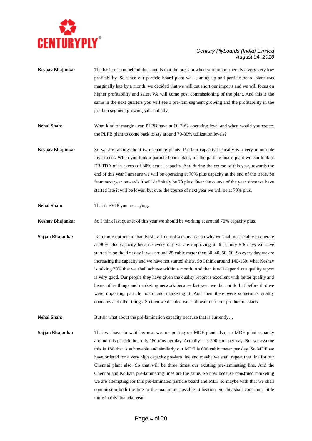

- **Keshav Bhajanka:** The basic reason behind the same is that the pre-lam when you import there is a very very low profitability. So since our particle board plant was coming up and particle board plant was marginally late by a month, we decided that we will cut short our imports and we will focus on higher profitability and sales. We will come post commissioning of the plant. And this is the same in the next quarters you will see a pre-lam segment growing and the profitability in the pre-lam segment growing substantially.
- **Nehal Shah**: What kind of margins can PLPB have at 60-70% operating level and when would you expect the PLPB plant to come back to say around 70-80% utilization levels?
- **Keshav Bhajanka:** So we are talking about two separate plants. Pre-lam capacity basically is a very minuscule investment. When you look a particle board plant, for the particle board plant we can look at EBITDA of in excess of 30% actual capacity. And during the course of this year, towards the end of this year I am sure we will be operating at 70% plus capacity at the end of the trade. So from next year onwards it will definitely be 70 plus. Over the course of the year since we have started late it will be lower, but over the course of next year we will be at 70% plus.
- **Nehal Shah:** That is FY18 you are saying.

**Keshav Bhajanka:** So I think last quarter of this year we should be working at around 70% capacity plus.

- **Sajjan Bhajanka:** I am more optimistic than Keshav. I do not see any reason why we shall not be able to operate at 90% plus capacity because every day we are improving it. It is only 5-6 days we have started it, so the first day it was around 25 cubic meter then 30, 40, 50, 60. So every day we are increasing the capacity and we have not started shifts. So I think around 140-150; what Keshav is talking 70% that we shall achieve within a month. And then it will depend as a quality report is very good. Our people they have given the quality report is excellent with better quality and better other things and marketing network because last year we did not do but before that we were importing particle board and marketing it. And then there were sometimes quality concerns and other things. So then we decided we shall wait until our production starts.
- **Nehal Shah:** But sir what about the pre-lamination capacity because that is currently...
- **Sajjan Bhajanka:** That we have to wait because we are putting up MDF plant also, so MDF plant capacity around this particle board is 180 tons per day. Actually it is 200 cbm per day. But we assume this is 180 that is achievable and similarly our MDF is 600 cubic meter per day. So MDF we have ordered for a very high capacity pre-lam line and maybe we shall repeat that line for our Chennai plant also. So that will be three times our existing pre-laminating line. And the Chennai and Kolkata pre-laminating lines are the same. So now because construed marketing we are attempting for this pre-laminated particle board and MDF so maybe with that we shall commission both the line to the maximum possible utilization. So this shall contribute little more in this financial year.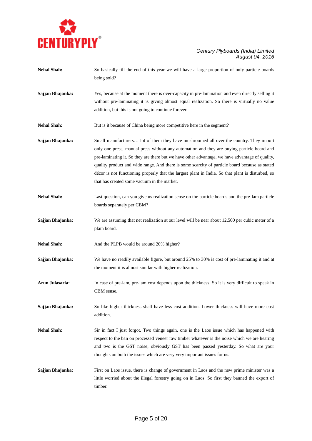

| <b>Nehal Shah:</b> | So basically till the end of this year we will have a large proportion of only particle boards<br>being sold?                                                                                                                                                                                                                                                                                                                                                                                                                                 |
|--------------------|-----------------------------------------------------------------------------------------------------------------------------------------------------------------------------------------------------------------------------------------------------------------------------------------------------------------------------------------------------------------------------------------------------------------------------------------------------------------------------------------------------------------------------------------------|
| Sajjan Bhajanka:   | Yes, because at the moment there is over-capacity in pre-lamination and even directly selling it<br>without pre-laminating it is giving almost equal realization. So there is virtually no value<br>addition, but this is not going to continue forever.                                                                                                                                                                                                                                                                                      |
| <b>Nehal Shah:</b> | But is it because of China being more competitive here in the segment?                                                                                                                                                                                                                                                                                                                                                                                                                                                                        |
| Sajjan Bhajanka:   | Small manufacturers lot of them they have mushroomed all over the country. They import<br>only one press, manual press without any automation and they are buying particle board and<br>pre-laminating it. So they are there but we have other advantage, we have advantage of quality,<br>quality product and wide range. And there is some scarcity of particle board because as stated<br>décor is not functioning properly that the largest plant in India. So that plant is disturbed, so<br>that has created some vacuum in the market. |
| <b>Nehal Shah:</b> | Last question, can you give us realization sense on the particle boards and the pre-lam particle<br>boards separately per CBM?                                                                                                                                                                                                                                                                                                                                                                                                                |
| Sajjan Bhajanka:   | We are assuming that net realization at our level will be near about 12,500 per cubic meter of a<br>plain board.                                                                                                                                                                                                                                                                                                                                                                                                                              |
| <b>Nehal Shah:</b> | And the PLPB would be around 20% higher?                                                                                                                                                                                                                                                                                                                                                                                                                                                                                                      |
| Sajjan Bhajanka:   | We have no readily available figure, but around 25% to 30% is cost of pre-laminating it and at<br>the moment it is almost similar with higher realization.                                                                                                                                                                                                                                                                                                                                                                                    |
| Arun Julasaria:    | In case of pre-lam, pre-lam cost depends upon the thickness. So it is very difficult to speak in<br>CBM sense.                                                                                                                                                                                                                                                                                                                                                                                                                                |
| Sajjan Bhajanka:   | So like higher thickness shall have less cost addition. Lower thickness will have more cost<br>addition.                                                                                                                                                                                                                                                                                                                                                                                                                                      |
| <b>Nehal Shah:</b> | Sir in fact I just forgot. Two things again, one is the Laos issue which has happened with<br>respect to the ban on processed veneer raw timber whatever is the noise which we are hearing<br>and two is the GST noise; obviously GST has been passed yesterday. So what are your<br>thoughts on both the issues which are very very important issues for us.                                                                                                                                                                                 |
| Sajjan Bhajanka:   | First on Laos issue, there is change of government in Laos and the new prime minister was a<br>little worried about the illegal forestry going on in Laos. So first they banned the export of<br>timber.                                                                                                                                                                                                                                                                                                                                      |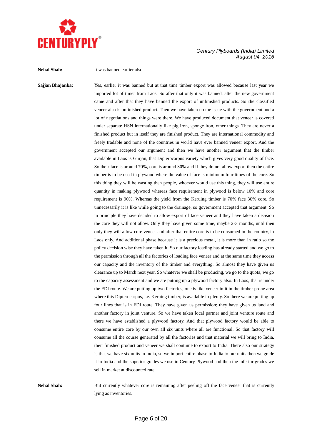

**Nehal Shah:** It was banned earlier also.

**Sajjan Bhajanka:** Yes, earlier it was banned but at that time timber export was allowed because last year we imported lot of timer from Laos. So after that only it was banned, after the new government came and after that they have banned the export of unfinished products. So the classified veneer also is unfinished product. Then we have taken up the issue with the government and a lot of negotiations and things were there. We have produced document that veneer is covered under separate HSN internationally like pig iron, sponge iron, other things. They are never a finished product but in itself they are finished product. They are international commodity and freely tradable and none of the countries in world have ever banned veneer export. And the government accepted our argument and then we have another argument that the timber available in Laos is Gurjan, that Dipterocarpus variety which gives very good quality of face. So their face is around 70%, core is around 30% and if they do not allow export then the entire timber is to be used in plywood where the value of face is minimum four times of the core. So this thing they will be wasting then people, whoever would use this thing, they will use entire quantity in making plywood whereas face requirement in plywood is below 10% and core requirement is 90%. Whereas the yield from the Keruing timber is 70% face 30% core. So unnecessarily it is like while going to the drainage, so government accepted that argument. So in principle they have decided to allow export of face veneer and they have taken a decision the core they will not allow. Only they have given some time, maybe 2-3 months, until then only they will allow core veneer and after that entire core is to be consumed in the country, in Laos only. And additional phase because it is a precious metal, it is more than in ratio so the policy decision wise they have taken it. So our factory loading has already started and we go to the permission through all the factories of loading face veneer and at the same time they access our capacity and the inventory of the timber and everything. So almost they have given us clearance up to March next year. So whatever we shall be producing, we go to the quota, we go to the capacity assessment and we are putting up a plywood factory also. In Laos, that is under the FDI route. We are putting up two factories, one is like veneer in it in the timber prone area where this Dipterocarpus, i.e. Keruing timber, is available in plenty. So there we are putting up four lines that is in FDI route. They have given us permission; they have given us land and another factory in joint venture. So we have taken local partner and joint venture route and there we have established a plywood factory. And that plywood factory would be able to consume entire core by our own all six units where all are functional. So that factory will consume all the course generated by all the factories and that material we will bring to India, their finished product and veneer we shall continue to export to India. There also our strategy is that we have six units in India, so we import entire phase to India to our units then we grade it in India and the superior grades we use in Century Plywood and then the inferior grades we sell in market at discounted rate.

Nehal Shah: But currently whatever core is remaining after peeling off the face veneer that is currently lying as inventories.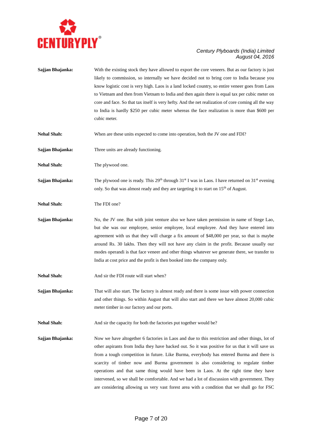

**Sajjan Bhajanka:** With the existing stock they have allowed to export the core veneers. But as our factory is just likely to commission, so internally we have decided not to bring core to India because you know logistic cost is very high. Laos is a land locked country, so entire veneer goes from Laos to Vietnam and then from Vietnam to India and then again there is equal tax per cubic meter on core and face. So that tax itself is very hefty. And the net realization of core coming all the way to India is hardly \$250 per cubic meter whereas the face realization is more than \$600 per cubic meter. **Nehal Shah:** When are these units expected to come into operation, both the JV one and FDI? **Sajjan Bhajanka:** Three units are already functioning. **Nehal Shah:** The plywood one. **Sajjan Bhajanka:** The plywood one is ready. This 29<sup>th</sup> through 31<sup>st</sup> I was in Laos. I have returned on 31<sup>st</sup> evening only. So that was almost ready and they are targeting it to start on 15<sup>th</sup> of August. **Nehal Shah:** The FDI one? **Sajjan Bhajanka:** No, the JV one. But with joint venture also we have taken permission in name of Stege Lao, but she was our employee, senior employee, local employee. And they have entered into agreement with us that they will charge a fix amount of \$48,000 per year, so that is maybe around Rs. 30 lakhs. Then they will not have any claim in the profit. Because usually our modes operandi is that face veneer and other things whatever we generate there, we transfer to India at cost price and the profit is then booked into the company only. **Nehal Shah:** And sir the FDI route will start when? **Sajjan Bhajanka:** That will also start. The factory is almost ready and there is some issue with power connection and other things. So within August that will also start and there we have almost 20,000 cubic meter timber in our factory and our ports. Nehal Shah: And sir the capacity for both the factories put together would be? **Sajjan Bhajanka:** Now we have altogether 6 factories in Laos and due to this restriction and other things, lot of other aspirants from India they have backed out. So it was positive for us that it will save us from a tough competition in future. Like Burma, everybody has entered Burma and there is scarcity of timber now and Burma government is also considering to regulate timber operations and that same thing would have been in Laos. At the right time they have intervened, so we shall be comfortable. And we had a lot of discussion with government. They are considering allowing us very vast forest area with a condition that we shall go for FSC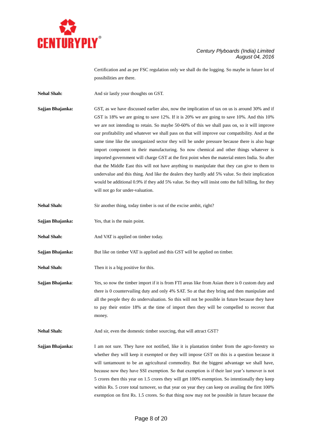

Certification and as per FSC regulation only we shall do the logging. So maybe in future lot of possibilities are there.

**Nehal Shah:** And sir lastly your thoughts on GST.

**Sajian Bhajanka:** GST, as we have discussed earlier also, now the implication of tax on us is around 30% and if GST is 18% we are going to save 12%. If it is 20% we are going to save 10%. And this 10% we are not intending to retain. So maybe 50-60% of this we shall pass on, so it will improve our profitability and whatever we shall pass on that will improve our compatibility. And at the same time like the unorganized sector they will be under pressure because there is also huge import component in their manufacturing. So now chemical and other things whatever is imported government will charge GST at the first point when the material enters India. So after that the Middle East this will not have anything to manipulate that they can give to them to undervalue and this thing. And like the dealers they hardly add 5% value. So their implication would be additional 0.9% if they add 5% value. So they will insist onto the full billing, for they will not go for under-valuation.

**Nehal Shah:** Sir another thing, today timber is out of the excise ambit, right?

- **Sajjan Bhajanka:** Yes, that is the main point.
- Nehal Shah: And VAT is applied on timber today.

**Sajjan Bhajanka:** But like on timber VAT is applied and this GST will be applied on timber.

**Nehal Shah:** Then it is a big positive for this.

**Sajjan Bhajanka:** Yes, so now the timber import if it is from FTI areas like from Asian there is 0 custom duty and there is 0 countervailing duty and only 4% SAT. So at that they bring and then manipulate and all the people they do undervaluation. So this will not be possible in future because they have to pay their entire 18% at the time of import then they will be compelled to recover that money.

**Nehal Shah:** And sir, even the domestic timber sourcing, that will attract GST?

**Sajjan Bhajanka:** I am not sure. They have not notified, like it is plantation timber from the agro-forestry so whether they will keep it exempted or they will impose GST on this is a question because it will tantamount to be an agricultural commodity. But the biggest advantage we shall have, because now they have SSI exemption. So that exemption is if their last year's turnover is not 5 crores then this year on 1.5 crores they will get 100% exemption. So intentionally they keep within Rs. 5 crore total turnover, so that year on year they can keep on availing the first 100% exemption on first Rs. 1.5 crores. So that thing now may not be possible in future because the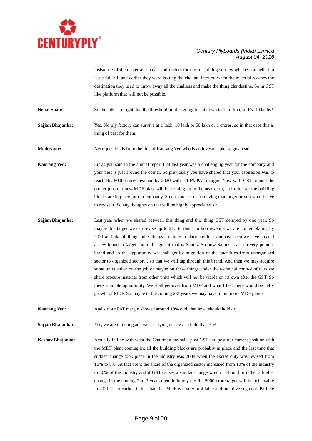

insistence of the dealer and buyer and traders for the full billing so they will be compelled to issue full bill and earlier they were issuing the challan, later on when the material reaches the destination they used to throw away all the challans and make the thing clandestine. So in GST like platform that will not be possible.

**Nehal Shah:** So the talks are right that the threshold limit is going to cut down to 1 million, so Rs. 10 lakhs?

**Sajjan Bhajanka:** Yes. No ply factory can survive at 1 lakh, 10 lakh or 50 lakh or 1 crores, so in that case this is thing of past for them.

**Moderator:** Next question is from the line of Kaurang Ved who is an investor; please go ahead.

**Kaurang Ved:** Sir as you said in the annual report that last year was a challenging year for the company and your best is just around the corner. So previously you have shared that your aspiration was to reach Rs. 5000 crores revenue by 2020 with a 10% PAT margin. Now with GST around the corner plus our new MDF plant will be coming up in the near term; so I think all the building blocks are in place for our company. So do you see us achieving that target or you would have to revise it. So any thoughts on that will be highly appreciated sir.

**Sajjan Bhajanka:** Last year when we shared between this thing and this thing GST delayed by one year. So maybe this target we can revise up to 21. So this 1 billion revenue we are contemplating by 2021 and like all things other things are there in place and like you have seen we have created a new brand to target the mid-segment that is Sainik. So now Sainik is also a very popular brand and so the opportunity we shall get by migration of the quantities from unorganized sector to organized sector... so that we will tap through this brand. And then we may acquire some units either on the job or maybe on these things under the technical control of ours we share procure material from other units which will not be viable on its own after the GST. So there is ample opportunity. We shall get over from MDF and what I feel there would be hefty growth of MDF. So maybe in the coming 2-3 years we may have to put more MDF plants.

**Kaurang Ved:** And sir our PAT margin showed around 10% odd, that level should hold or…

**Sajjan Bhajanka:** Yes, we are targeting and we are trying our best to hold that 10%.

**Keshav Bhajanka:** Actually in line with what the Chairman has said, post GST and post our current position with the MDF plant coming in, all the building blocks are probably in place and the last time that sudden change took place in the industry was 2008 when the excise duty was revised from 16% to 8%. At that point the share of the organized sector increased from 10% of the industry to 30% of the industry and if GST causes a similar change which it should or rather a higher change in the coming 2 to 3 years then definitely the Rs. 5000 crore target will be achievable in 2021 if not earlier. Other than that MDF is a very profitable and lucrative segment. Particle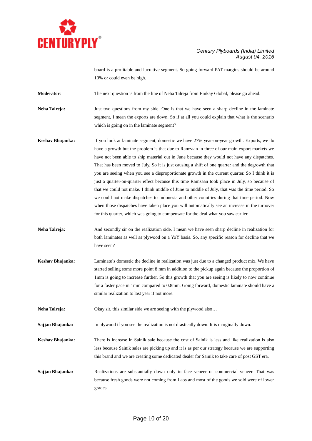

board is a profitable and lucrative segment. So going forward PAT margins should be around 10% or could even be high.

**Moderator:** The next question is from the line of Neha Talreja from Emkay Global, please go ahead.

**Neha Talreja:** Just two questions from my side. One is that we have seen a sharp decline in the laminate segment, I mean the exports are down. So if at all you could explain that what is the scenario which is going on in the laminate segment?

- **Keshav Bhajanka:** If you look at laminate segment, domestic we have 27% year-on-year growth. Exports, we do have a growth but the problem is that due to Ramzaan in three of our main export markets we have not been able to ship material out in June because they would not have any dispatches. That has been moved to July. So it is just causing a shift of one quarter and the degrowth that you are seeing when you see a disproportionate growth in the current quarter. So I think it is just a quarter-on-quarter effect because this time Ramzaan took place in July, so because of that we could not make. I think middle of June to middle of July, that was the time period. So we could not make dispatches to Indonesia and other countries during that time period. Now when those dispatches have taken place you will automatically see an increase in the turnover for this quarter, which was going to compensate for the deal what you saw earlier.
- **Neha Talreja:** And secondly sir on the realization side, I mean we have seen sharp decline in realization for both laminates as well as plywood on a YoY basis. So, any specific reason for decline that we have seen?
- **Keshav Bhajanka:** Laminate's domestic the decline in realization was just due to a changed product mix. We have started selling some more point 8 mm in addition to the pickup again because the proportion of 1mm is going to increase further. So this growth that you are seeing is likely to now continue for a faster pace in 1mm compared to 0.8mm. Going forward, domestic laminate should have a similar realization to last year if not more.

**Neha Talreja:** Okay sir, this similar side we are seeing with the plywood also...

**Sajjan Bhajanka:** In plywood if you see the realization is not drastically down. It is marginally down.

**Keshav Bhajanka:** There is increase in Sainik sale because the cost of Sainik is less and like realization is also less because Sainik sales are picking up and it is as per our strategy because we are supporting this brand and we are creating some dedicated dealer for Sainik to take care of post GST era.

**Sajjan Bhajanka:** Realizations are substantially down only in face veneer or commercial veneer. That was because fresh goods were not coming from Laos and most of the goods we sold were of lower grades.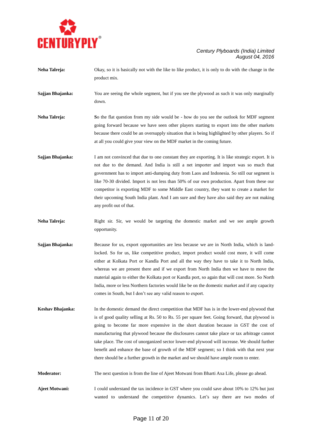

- **Neha Talreja:** Okay, so it is basically not with the like to like product, it is only to do with the change in the product mix.
- **Sajjan Bhajanka:** You are seeing the whole segment, but if you see the plywood as such it was only marginally down.
- **Neha Talreja: So the flat question from my side would be how do you see the outlook for MDF segment** going forward because we have seen other players starting to export into the other markets because there could be an oversupply situation that is being highlighted by other players. So if at all you could give your view on the MDF market in the coming future.
- **Sajjan Bhajanka:** I am not convinced that due to one constant they are exporting. It is like strategic export. It is not due to the demand. And India is still a net importer and import was so much that government has to import anti-dumping duty from Laos and Indonesia. So still our segment is like 70-30 divided. Import is not less than 50% of our own production. Apart from these our competitor is exporting MDF to some Middle East country, they want to create a market for their upcoming South India plant. And I am sure and they have also said they are not making any profit out of that.
- **Neha Talreja:** Right sir. Sir, we would be targeting the domestic market and we see ample growth opportunity.
- **Sajjan Bhajanka:** Because for us, export opportunities are less because we are in North India, which is landlocked. So for us, like competitive product, import product would cost more, it will come either at Kolkata Port or Kandla Port and all the way they have to take it to North India, whereas we are present there and if we export from North India then we have to move the material again to either the Kolkata port or Kandla port, so again that will cost more. So North India, more or less Northern factories would like be on the domestic market and if any capacity comes in South, but I don't see any valid reason to export.
- **Keshav Bhajanka:** In the domestic demand the direct competition that MDF has is in the lower-end plywood that is of good quality selling at Rs. 50 to Rs. 55 per square feet. Going forward, that plywood is going to become far more expensive in the short duration because in GST the cost of manufacturing that plywood because the disclosures cannot take place or tax arbitrage cannot take place. The cost of unorganized sector lower-end plywood will increase. We should further benefit and enhance the base of growth of the MDF segment; so I think with that next year there should be a further growth in the market and we should have ample room to enter.
- **Moderator:** The next question is from the line of Ajeet Motwani from Bharti Axa Life, please go ahead.
- **Ajeet Motwani:** I could understand the tax incidence in GST where you could save about 10% to 12% but just wanted to understand the competitive dynamics. Let's say there are two modes of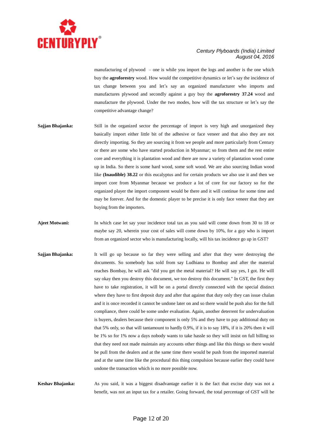

manufacturing of plywood – one is while you import the logs and another is the one which buy the **agroforestry** wood. How would the competitive dynamics or let's say the incidence of tax change between you and let's say an organized manufacturer who imports and manufactures plywood and secondly against a guy buy the **agroforestry 37.24** wood and manufacture the plywood. Under the two modes, how will the tax structure or let's say the competitive advantage change?

- **Sajjan Bhajanka:** Still in the organized sector the percentage of import is very high and unorganized they basically import either little bit of the adhesive or face veneer and that also they are not directly importing. So they are sourcing it from we people and more particularly from Century or there are some who have started production in Myanmar; so from them and the rest entire core and everything it is plantation wood and there are now a variety of plantation wood come up in India. So there is some hard wood, some soft wood. We are also sourcing Indian wood like **(Inaudible) 38.22** or this eucalyptus and for certain products we also use it and then we import core from Myanmar because we produce a lot of core for our factory so for the organized player the import component would be there and it will continue for some time and may be forever. And for the domestic player to be precise it is only face veneer that they are buying from the importers.
- **Ajeet Motwani:** In which case let say your incidence total tax as you said will come down from 30 to 18 or maybe say 20, wherein your cost of sales will come down by 10%, for a guy who is import from an organized sector who is manufacturing locally, will his tax incidence go up in GST?
- **Sajjan Bhajanka:** It will go up because so far they were selling and after that they were destroying the documents. So somebody has sold from say Ludhiana to Bombay and after the material reaches Bombay, he will ask "did you get the metal material? He will say yes, I got. He will say okay then you destroy this document, we too destroy this document." In GST, the first they have to take registration, it will be on a portal directly connected with the special distinct where they have to first deposit duty and after that against that duty only they can issue chalan and it is once recorded it cannot be undone later on and so there would be push also for the full compliance, there could be some under evaluation. Again, another deterrent for undervaluation is buyers, dealers because their component is only 5% and they have to pay additional duty on that 5% only, so that will tantamount to hardly 0.9%, if it is to say 18%, if it is 20% then it will be 1% so for 1% now a days nobody wants to take hassle so they will insist on full billing so that they need not made maintain any accounts other things and like this things so there would be pull from the dealers and at the same time there would be push from the imported material and at the same time like the procedural this thing compulsion because earlier they could have undone the transaction which is no more possible now.

**Keshav Bhajanka:** As you said, it was a biggest disadvantage earlier it is the fact that excise duty was not a benefit, was not an input tax for a retailer. Going forward, the total percentage of GST will be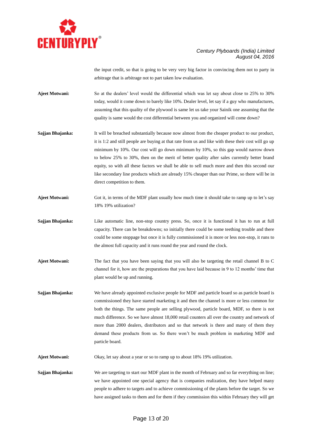

the input credit, so that is going to be very very big factor in convincing them not to party in arbitrage that is arbitrage not to part taken low evaluation.

**Ajeet Motwani:** So at the dealers' level would the differential which was let say about close to 25% to 30% today, would it come down to barely like 10%. Dealer level, let say if a guy who manufactures, assuming that this quality of the plywood is same let us take your Sainik one assuming that the quality is same would the cost differential between you and organized will come down?

- **Sajjan Bhajanka:** It will be breached substantially because now almost from the cheaper product to our product, it is 1:2 and still people are buying at that rate from us and like with these their cost will go up minimum by 10%. Our cost will go down minimum by 10%, so this gap would narrow down to below 25% to 30%, then on the merit of better quality after sales currently better brand equity, so with all these factors we shall be able to sell much more and then this second our like secondary line products which are already 15% cheaper than our Prime, so there will be in direct competition to them.
- **Ajeet Motwani:** Got it, in terms of the MDF plant usually how much time it should take to ramp up to let's say 18% 19% utilization?
- **Sajjan Bhajanka:** Like automatic line, non-stop country press. So, once it is functional it has to run at full capacity. There can be breakdowns; so initially there could be some teething trouble and there could be some stoppage but once it is fully commissioned it is more or less non-stop, it runs to the almost full capacity and it runs round the year and round the clock.
- **Ajeet Motwani:** The fact that you have been saying that you will also be targeting the retail channel B to C channel for it, how are the preparations that you have laid because in 9 to 12 months' time that plant would be up and running.
- **Sajjan Bhajanka:** We have already appointed exclusive people for MDF and particle board so as particle board is commissioned they have started marketing it and then the channel is more or less common for both the things. The same people are selling plywood, particle board, MDF, so there is not much difference. So we have almost 18,000 retail counters all over the country and network of more than 2000 dealers, distributors and so that network is there and many of them they demand these products from us. So there won't be much problem in marketing MDF and particle board.
- **Ajeet Motwani:** Okay, let say about a year or so to ramp up to about 18% 19% utilization.
- **Sajjan Bhajanka:** We are targeting to start our MDF plant in the month of February and so far everything on line; we have appointed one special agency that is companies realization, they have helped many people to adhere to targets and to achieve commissioning of the plants before the target. So we have assigned tasks to them and for them if they commission this within February they will get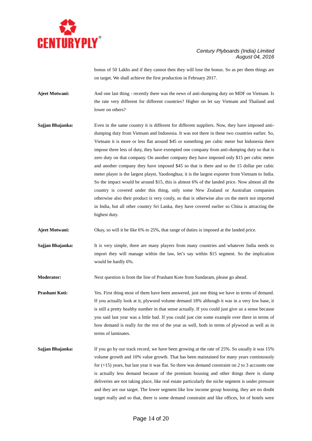

bonus of 50 Lakhs and if they cannot then they will lose the bonus. So as per them things are on target. We shall achieve the first production in February 2017.

**Ajeet Motwani:** And one last thing - recently there was the news of anti-dumping duty on MDF on Vietnam. Is the rate very different for different countries? Higher on let say Vietnam and Thailand and lower on others?

**Sajjan Bhajanka:** Even in the same country it is different for different suppliers. Now, they have imposed antidumping duty from Vietnam and Indonesia. It was not there in these two countries earlier. So, Vietnam it is more or less flat around \$45 or something per cubic meter but Indonesia there impose three less of duty, they have exempted one company from anti-dumping duty so that is zero duty on that company. On another company they have imposed only \$15 per cubic meter and another company they have imposed \$45 so that is there and so the 15 dollar per cubic meter player is the largest player, Yaodonghua; it is the largest exporter from Vietnam to India. So the impact would be around \$15, this is almost 6% of the landed price. Now almost all the country is covered under this thing, only some New Zealand or Australian companies otherwise also their product is very costly, so that is otherwise also on the merit not imported in India, but all other country Sri Lanka, they have covered earlier so China is attracting the highest duty.

**Ajeet Motwani:** Okay, so will it be like 6% to 25%, that range of duties is imposed at the landed price.

**Sajian Bhajanka:** It is very simple, there are many players from many countries and whatever India needs to import they will manage within the law, let's say within \$15 segment. So the implication would be hardly 6%.

**Moderator:** Next question is from the line of Prashant Kote from Sundaram, please go ahead.

- **Prashant Koti:** Yes. First thing most of them have been answered, just one thing we have in terms of demand. If you actually look at it, plywood volume demand 18% although it was in a very low base, it is still a pretty healthy number in that sense actually. If you could just give us a sense because you said last year was a little bad. If you could just cite some example over there in terms of how demand is really for the rest of the year as well, both in terms of plywood as well as in terms of laminates.
- **Sajjan Bhajanka:** If you go by our track record, we have been growing at the rate of 25%. So usually it was 15% volume growth and 10% value growth. That has been maintained for many years continuously for (+15) years, but last year it was flat. So there was demand constraint on 2 to 3 accounts one is actually less demand because of the premium housing and other things there is slump deliveries are not taking place, like real estate particularly the niche segment is under pressure and they are our target. The lower segment like low income group housing, they are no doubt target really and so that, there is some demand constraint and like offices, lot of hotels were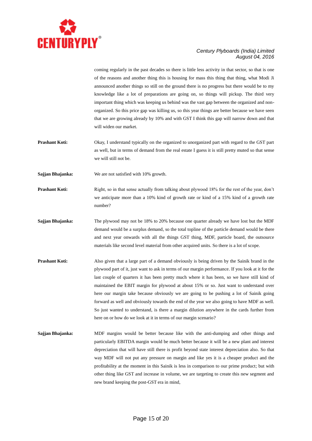

coming regularly in the past decades so there is little less activity in that sector, so that is one of the reasons and another thing this is housing for mass this thing that thing, what Modi Ji announced another things so still on the ground there is no progress but there would be to my knowledge like a lot of preparations are going on, so things will pickup. The third very important thing which was keeping us behind was the vast gap between the organized and nonorganized. So this price gap was killing us, so this year things are better because we have seen that we are growing already by 10% and with GST I think this gap will narrow down and that will widen our market.

**Prashant Koti:** Okay, I understand typically on the organized to unorganized part with regard to the GST part as well, but in terms of demand from the real estate I guess it is still pretty muted so that sense we will still not be.

**Sajjan Bhajanka:** We are not satisfied with 10% growth.

**Prashant Koti:** Right, so in that sense actually from talking about plywood 18% for the rest of the year, don't we anticipate more than a 10% kind of growth rate or kind of a 15% kind of a growth rate number?

- **Sajjan Bhajanka:** The plywood may not be 18% to 20% because one quarter already we have lost but the MDF demand would be a surplus demand, so the total topline of the particle demand would be there and next year onwards with all the things GST thing, MDF, particle board, the outsource materials like second level material from other acquired units. So there is a lot of scope.
- **Prashant Koti:** Also given that a large part of a demand obviously is being driven by the Sainik brand in the plywood part of it, just want to ask in terms of our margin performance. If you look at it for the last couple of quarters it has been pretty much where it has been, so we have still kind of maintained the EBIT margin for plywood at about 15% or so. Just want to understand over here our margin take because obviously we are going to be pushing a lot of Sainik going forward as well and obviously towards the end of the year we also going to have MDF as well. So just wanted to understand, is there a margin dilution anywhere in the cards further from here on or how do we look at it in terms of our margin scenario?
- **Sajjan Bhajanka:** MDF margins would be better because like with the anti-dumping and other things and particularly EBITDA margin would be much better because it will be a new plant and interest depreciation that will have still there is profit beyond state interest depreciation also. So that way MDF will not put any pressure on margin and like yes it is a cheaper product and the profitability at the moment in this Sainik is less in comparison to our prime product; but with other thing like GST and increase in volume, we are targeting to create this new segment and new brand keeping the post-GST era in mind,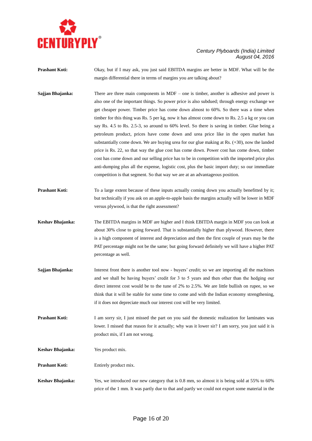

**Prashant Koti:** Okay, but if I may ask, you just said EBITDA margins are better in MDF. What will be the margin differential there in terms of margins you are talking about?

- **Sajjan Bhajanka:** There are three main components in MDF one is timber, another is adhesive and power is also one of the important things. So power price is also subdued; through energy exchange we get cheaper power. Timber price has come down almost to 60%. So there was a time when timber for this thing was Rs. 5 per kg, now it has almost come down to Rs. 2.5 a kg or you can say Rs. 4.5 to Rs. 2.5-3, so around to 60% level. So there is saving in timber. Glue being a petroleum product, prices have come down and urea price like in the open market has substantially come down. We are buying urea for our glue making at Rs. (+30), now the landed price is Rs. 22, so that way the glue cost has come down. Power cost has come down, timber cost has come down and our selling price has to be in competition with the imported price plus anti-dumping plus all the expense, logistic cost, plus the basic import duty; so our immediate competition is that segment. So that way we are at an advantageous position.
- **Prashant Koti:** To a large extent because of these inputs actually coming down you actually benefitted by it; but technically if you ask on an apple-to-apple basis the margins actually will be lower in MDF versus plywood, is that the right assessment?
- **Keshav Bhajanka:** The EBITDA margins in MDF are higher and I think EBITDA margin in MDF you can look at about 30% close to going forward. That is substantially higher than plywood. However, there is a high component of interest and depreciation and then the first couple of years may be the PAT percentage might not be the same; but going forward definitely we will have a higher PAT percentage as well.
- **Sajjan Bhajanka:** Interest front there is another tool now buyers' credit; so we are importing all the machines and we shall be having buyers' credit for 3 to 5 years and then other than the hedging our direct interest cost would be to the tune of 2% to 2.5%. We are little bullish on rupee, so we think that it will be stable for some time to come and with the Indian economy strengthening, if it does not depreciate much our interest cost will be very limited.

**Prashant Koti:** I am sorry sir, I just missed the part on you said the domestic realization for laminates was lower. I missed that reason for it actually; why was it lower sir? I am sorry, you just said it is product mix, if I am not wrong.

**Keshav Bhajanka:** Yes product mix.

**Prashant Koti:** Entirely product mix.

**Keshav Bhajanka:** Yes, we introduced our new category that is 0.8 mm, so almost it is being sold at 55% to 60% price of the 1 mm. It was partly due to that and partly we could not export some material in the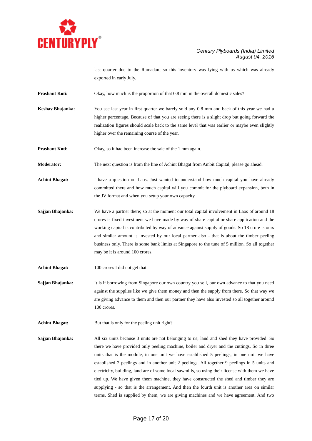

last quarter due to the Ramadan; so this inventory was lying with us which was already exported in early July.

**Prashant Koti:** Okay, how much is the proportion of that 0.8 mm in the overall domestic sales?

**Keshav Bhajanka:** You see last year in first quarter we barely sold any 0.8 mm and back of this year we had a higher percentage. Because of that you are seeing there is a slight drop but going forward the realization figures should scale back to the same level that was earlier or maybe even slightly higher over the remaining course of the year.

**Prashant Koti:** Okay, so it had been increase the sale of the 1 mm again.

**Moderator:** The next question is from the line of Achint Bhagat from Ambit Capital, please go ahead.

**Achint Bhagat:** I have a question on Laos. Just wanted to understand how much capital you have already committed there and how much capital will you commit for the plyboard expansion, both in the JV format and when you setup your own capacity.

- **Sajjan Bhajanka:** We have a partner there; so at the moment our total capital involvement in Laos of around 18 crores is fixed investment we have made by way of share capital or share application and the working capital is contributed by way of advance against supply of goods. So 18 crore is ours and similar amount is invested by our local partner also - that is about the timber peeling business only. There is some bank limits at Singapore to the tune of 5 million. So all together may be it is around 100 crores.
- **Achint Bhagat:** 100 crores I did not get that.
- **Sajjan Bhajanka:** It is if borrowing from Singapore our own country you sell, our own advance to that you need against the supplies like we give them money and then the supply from there. So that way we are giving advance to them and then our partner they have also invested so all together around 100 crores.

**Achint Bhagat:** But that is only for the peeling unit right?

**Sajjan Bhajanka:** All six units because 3 units are not belonging to us; land and shed they have provided. So there we have provided only peeling machine, boiler and dryer and the cuttings. So in three units that is the module, in one unit we have established 5 peelings, in one unit we have established 2 peelings and in another unit 2 peelings. All together 9 peelings in 5 units and electricity, building, land are of some local sawmills, so using their license with them we have tied up. We have given them machine, they have constructed the shed and timber they are supplying - so that is the arrangement. And then the fourth unit is another area on similar terms. Shed is supplied by them, we are giving machines and we have agreement. And two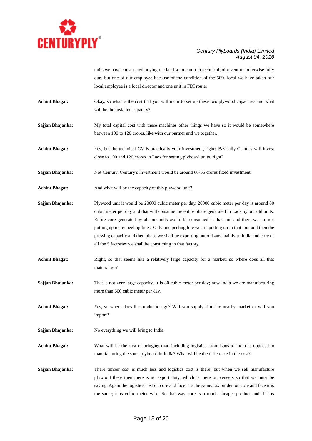

units we have constructed buying the land so one unit in technical joint venture otherwise fully ours but one of our employee because of the condition of the 50% local we have taken our local employee is a local director and one unit in FDI route.

- **Achint Bhagat:** Okay, so what is the cost that you will incur to set up these two plywood capacities and what will be the installed capacity?
- **Sajjan Bhajanka:** My total capital cost with these machines other things we have so it would be somewhere between 100 to 120 crores, like with our partner and we together.
- **Achint Bhagat:** Yes, but the technical GV is practically your investment, right? Basically Century will invest close to 100 and 120 crores in Laos for setting plyboard units, right?
- **Sajjan Bhajanka:** Not Century. Century's investment would be around 60-65 crores fixed investment.

**Achint Bhagat:** And what will be the capacity of this plywood unit?

- **Sajjan Bhajanka:** Plywood unit it would be 20000 cubic meter per day. 20000 cubic meter per day is around 80 cubic meter per day and that will consume the entire phase generated in Laos by our old units. Entire core generated by all our units would be consumed in that unit and there we are not putting up many peeling lines. Only one peeling line we are putting up in that unit and then the pressing capacity and then phase we shall be exporting out of Laos mainly to India and core of all the 5 factories we shall be consuming in that factory.
- **Achint Bhagat:** Right, so that seems like a relatively large capacity for a market; so where does all that material go?
- **Sajjan Bhajanka:** That is not very large capacity. It is 80 cubic meter per day; now India we are manufacturing more than 600 cubic meter per day.

Achint Bhagat: Yes, so where does the production go? Will you supply it in the nearby market or will you import?

- **Sajjan Bhajanka:** No everything we will bring to India.
- **Achint Bhagat:** What will be the cost of bringing that, including logistics, from Laos to India as opposed to manufacturing the same plyboard in India? What will be the difference in the cost?
- **Sajjan Bhajanka:** There timber cost is much less and logistics cost is there; but when we sell manufacture plywood there then there is no export duty, which is there on veneers so that we must be saving. Again the logistics cost on core and face it is the same, tax burden on core and face it is the same; it is cubic meter wise. So that way core is a much cheaper product and if it is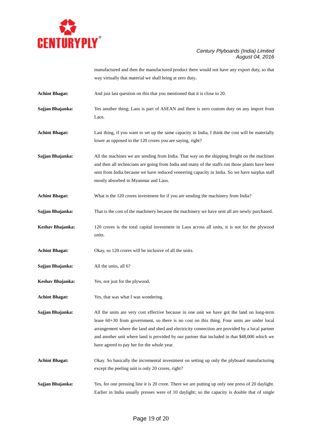

manufactured and then the manufactured product there would not have any export duty, so that way virtually that material we shall bring at zero duty**.**

**Achint Bhagat:** And just last question on this that you mentioned that it is close to 20.

**Sajjan Bhajanka:** Yes another thing; Laos is part of ASEAN and there is zero custom duty on any import from Laos.

**Achint Bhagat:** Last thing, if you want to set up the same capacity in India, I think the cost will be materially lower as opposed to the 120 crores you are saying, right?

**Sajjan Bhajanka:** All the machines we are sending from India. That way on the shipping freight on the machines and then all technicians are going from India and many of the staffs run those plants have been sent from India because we have reduced veneering capacity in India. So we have surplus staff mostly absorbed in Myanmar and Laos.

Achint Bhagat: What is the 120 crores investment for if you are sending the machinery from India?

**Sajjan Bhajanka:** That is the cost of the machinery because the machinery we have sent all are newly purchased.

**Keshav Bhajanka:** 120 crores is the total capital investment in Laos across all units, it is not for the plywood units.

Achint Bhagat: Okay, so 120 crores will be inclusive of all the units.

**Sajjan Bhajanka:** All the units, all 6?

**Keshav Bhajanka:** Yes, not just for the plywood.

**Achint Bhagat:** Yes, that was what I was wondering.

**Sajjan Bhajanka:** All the units are very cost effective because in one unit we have got the land on long-term lease 60+30 from government, so there is no cost on this thing. Four units are under local arrangement where the land and shed and electricity connection are provided by a local partner and another unit where land is provided by our partner that included in that \$48,000 which we have agreed to pay her for the whole year.

**Achint Bhagat:** Okay. So basically the incremental investment on setting up only the plyboard manufacturing except the peeling unit is only 20 crores, right?

**Sajjan Bhajanka:** Yes, for one pressing line it is 20 crore. There we are putting up only one press of 20 daylight. Earlier in India usually presses were of 10 daylight; so the capacity is double that of single